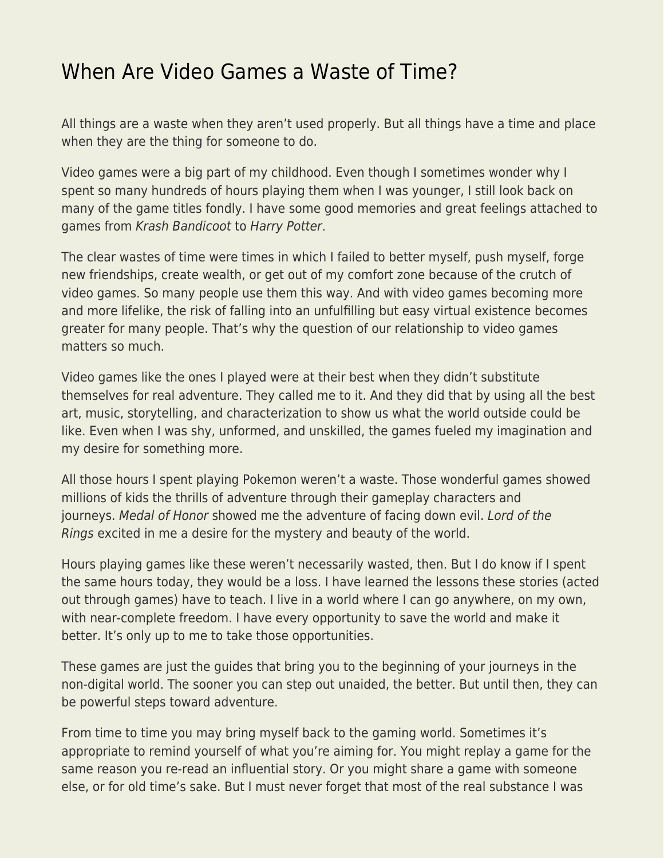## [When Are Video Games a Waste of Time?](https://everything-voluntary.com/when-are-video-games-a-waste-of-time)

All things are a waste when they aren't used properly. But all things have a time and place when they are the thing for someone to do.

Video games were a big part of my childhood. Even though I sometimes wonder why I spent so many hundreds of hours playing them when I was younger, I still look back on many of the game titles fondly. I have some good memories and great feelings attached to games from Krash Bandicoot to Harry Potter.

The clear wastes of time were times in which I failed to better myself, push myself, forge new friendships, create wealth, or get out of my comfort zone because of the crutch of video games. So many people use them this way. And with video games becoming more and more lifelike, the risk of falling into an unfulfilling but easy virtual existence becomes greater for many people. That's why the question of our relationship to video games matters so much.

Video games like the ones I played were at their best when they didn't substitute themselves for real adventure. They called me to it. And they did that by using all the best art, music, storytelling, and characterization to show us what the world outside could be like. Even when I was shy, unformed, and unskilled, the games fueled my imagination and my desire for something more.

All those hours I spent playing Pokemon weren't a waste. Those wonderful games showed millions of kids the thrills of adventure through their gameplay characters and journeys. Medal of Honor showed me the adventure of facing down evil. Lord of the Rings excited in me a desire for the mystery and beauty of the world.

Hours playing games like these weren't necessarily wasted, then. But I do know if I spent the same hours today, they would be a loss. I have learned the lessons these stories (acted out through games) have to teach. I live in a world where I can go anywhere, on my own, with near-complete freedom. I have every opportunity to save the world and make it better. It's only up to me to take those opportunities.

These games are just the guides that bring you to the beginning of your journeys in the non-digital world. The sooner you can step out unaided, the better. But until then, they can be powerful steps toward adventure.

From time to time you may bring myself back to the gaming world. Sometimes it's appropriate to remind yourself of what you're aiming for. You might replay a game for the same reason you re-read an influential story. Or you might share a game with someone else, or for old time's sake. But I must never forget that most of the real substance I was